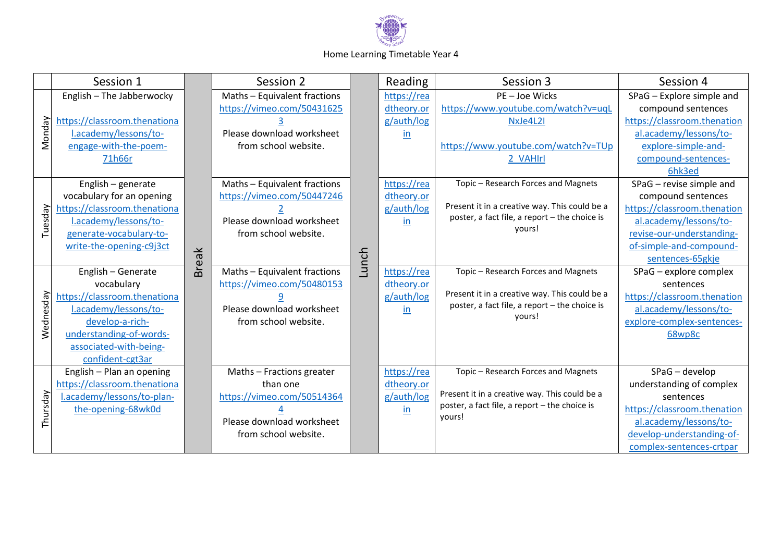

## Home Learning Timetable Year 4

|           | Session 1                    |              | Session 2                    |       | Reading     | Session 3                                                                                                | Session 4                                |
|-----------|------------------------------|--------------|------------------------------|-------|-------------|----------------------------------------------------------------------------------------------------------|------------------------------------------|
| Monday    | English - The Jabberwocky    | <b>Break</b> | Maths - Equivalent fractions |       | https://rea | PE-Joe Wicks                                                                                             | SPaG - Explore simple and                |
|           |                              |              | https://vimeo.com/50431625   |       | dtheory.or  | https://www.youtube.com/watch?v=uqL                                                                      | compound sentences                       |
|           | https://classroom.thenationa |              |                              |       | g/auth/log  | NxJe4L2I                                                                                                 | https://classroom.thenation              |
|           | l.academy/lessons/to-        |              | Please download worksheet    |       | in          |                                                                                                          | al.academy/lessons/to-                   |
|           | engage-with-the-poem-        |              | from school website.         |       |             | https://www.youtube.com/watch?v=TUp                                                                      | explore-simple-and-                      |
|           | 71h66r                       |              |                              |       |             | 2 VAHIrl                                                                                                 | compound-sentences-                      |
|           |                              |              |                              | Lunch |             |                                                                                                          | 6hk3ed                                   |
| Tuesday   | English - generate           |              | Maths - Equivalent fractions |       | https://rea | Topic - Research Forces and Magnets                                                                      | SPaG - revise simple and                 |
|           | vocabulary for an opening    |              | https://vimeo.com/50447246   |       | dtheory.or  |                                                                                                          | compound sentences                       |
|           | https://classroom.thenationa |              |                              |       | g/auth/log  | Present it in a creative way. This could be a<br>poster, a fact file, a report - the choice is<br>yours! | https://classroom.thenation              |
|           | l.academy/lessons/to-        |              | Please download worksheet    |       | in.         |                                                                                                          | al.academy/lessons/to-                   |
|           | generate-vocabulary-to-      |              | from school website.         |       |             |                                                                                                          | revise-our-understanding-                |
|           | write-the-opening-c9j3ct     |              |                              |       |             |                                                                                                          | of-simple-and-compound-                  |
|           |                              |              |                              |       |             |                                                                                                          | sentences-65gkje                         |
|           | English - Generate           |              | Maths - Equivalent fractions |       | https://rea | Topic - Research Forces and Magnets                                                                      | SPaG - explore complex                   |
|           | vocabulary                   |              | https://vimeo.com/50480153   |       | dtheory.or  | Present it in a creative way. This could be a<br>poster, a fact file, a report - the choice is<br>yours! | sentences                                |
|           | https://classroom.thenationa |              |                              |       | g/auth/log  |                                                                                                          | https://classroom.thenation              |
| Wednesday | l.academy/lessons/to-        |              | Please download worksheet    |       | in          |                                                                                                          | al.academy/lessons/to-                   |
|           | develop-a-rich-              |              | from school website.         |       |             |                                                                                                          | explore-complex-sentences-               |
|           | understanding-of-words-      |              |                              |       |             |                                                                                                          | 68wp8c                                   |
|           | associated-with-being-       |              |                              |       |             |                                                                                                          |                                          |
|           | confident-cgt3ar             |              |                              |       |             |                                                                                                          |                                          |
|           | English - Plan an opening    |              | Maths - Fractions greater    |       | https://rea | Topic - Research Forces and Magnets                                                                      | SPaG - develop                           |
|           | https://classroom.thenationa |              | than one                     |       | dtheory.or  | Present it in a creative way. This could be a<br>poster, a fact file, a report - the choice is<br>yours! | understanding of complex                 |
| Thursday  | l.academy/lessons/to-plan-   |              | https://vimeo.com/50514364   |       | g/auth/log  |                                                                                                          | sentences<br>https://classroom.thenation |
|           | the-opening-68wk0d           |              | Please download worksheet    |       | in          |                                                                                                          | al.academy/lessons/to-                   |
|           |                              |              | from school website.         |       |             |                                                                                                          | develop-understanding-of-                |
|           |                              |              |                              |       |             |                                                                                                          | complex-sentences-crtpar                 |
|           |                              |              |                              |       |             |                                                                                                          |                                          |